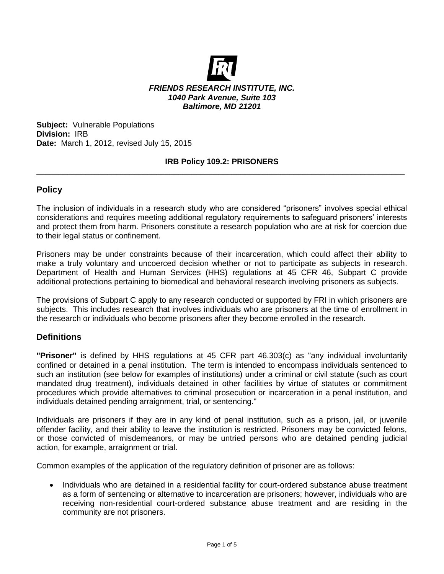

**Subject:** Vulnerable Populations **Division:** IRB **Date:** March 1, 2012, revised July 15, 2015

## **IRB Policy 109.2: PRISONERS** \_\_\_\_\_\_\_\_\_\_\_\_\_\_\_\_\_\_\_\_\_\_\_\_\_\_\_\_\_\_\_\_\_\_\_\_\_\_\_\_\_\_\_\_\_\_\_\_\_\_\_\_\_\_\_\_\_\_\_\_\_\_\_\_\_\_\_\_\_\_\_\_\_\_\_\_\_\_\_\_\_\_\_

## **Policy**

The inclusion of individuals in a research study who are considered "prisoners" involves special ethical considerations and requires meeting additional regulatory requirements to safeguard prisoners' interests and protect them from harm. Prisoners constitute a research population who are at risk for coercion due to their legal status or confinement.

Prisoners may be under constraints because of their incarceration, which could affect their ability to make a truly voluntary and uncoerced decision whether or not to participate as subjects in research. Department of Health and Human Services (HHS) regulations at 45 CFR 46, Subpart C provide additional protections pertaining to biomedical and behavioral research involving prisoners as subjects.

The provisions of Subpart C apply to any research conducted or supported by FRI in which prisoners are subjects. This includes research that involves individuals who are prisoners at the time of enrollment in the research or individuals who become prisoners after they become enrolled in the research.

## **Definitions**

**"Prisoner"** is defined by HHS regulations at 45 CFR part 46.303(c) as "any individual involuntarily confined or detained in a penal institution. The term is intended to encompass individuals sentenced to such an institution (see below for examples of institutions) under a criminal or civil statute (such as court mandated drug treatment), individuals detained in other facilities by virtue of statutes or commitment procedures which provide alternatives to criminal prosecution or incarceration in a penal institution, and individuals detained pending arraignment, trial, or sentencing."

Individuals are prisoners if they are in any kind of penal institution, such as a prison, jail, or juvenile offender facility, and their ability to leave the institution is restricted. Prisoners may be convicted felons, or those convicted of misdemeanors, or may be untried persons who are detained pending judicial action, for example, arraignment or trial.

Common examples of the application of the regulatory definition of prisoner are as follows:

• Individuals who are detained in a residential facility for court-ordered substance abuse treatment as a form of sentencing or alternative to incarceration are prisoners; however, individuals who are receiving non-residential court-ordered substance abuse treatment and are residing in the community are not prisoners.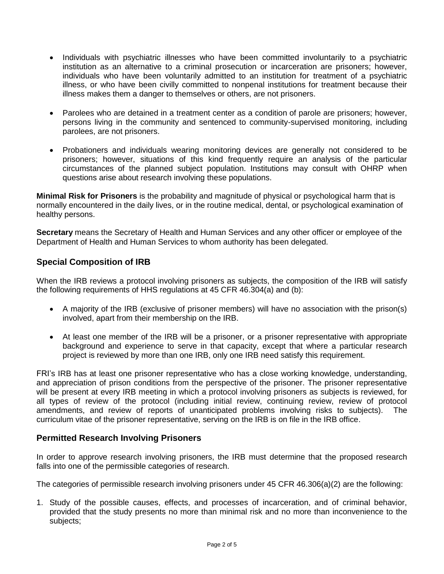- Individuals with psychiatric illnesses who have been committed involuntarily to a psychiatric institution as an alternative to a criminal prosecution or incarceration are prisoners; however, individuals who have been voluntarily admitted to an institution for treatment of a psychiatric illness, or who have been civilly committed to nonpenal institutions for treatment because their illness makes them a danger to themselves or others, are not prisoners.
- Parolees who are detained in a treatment center as a condition of parole are prisoners; however, persons living in the community and sentenced to community-supervised monitoring, including parolees, are not prisoners.
- Probationers and individuals wearing monitoring devices are generally not considered to be prisoners; however, situations of this kind frequently require an analysis of the particular circumstances of the planned subject population. Institutions may consult with OHRP when questions arise about research involving these populations.

**Minimal Risk for Prisoners** is the probability and magnitude of physical or psychological harm that is normally encountered in the daily lives, or in the routine medical, dental, or psychological examination of healthy persons.

**Secretary** means the Secretary of Health and Human Services and any other officer or employee of the Department of Health and Human Services to whom authority has been delegated.

# **Special Composition of IRB**

When the IRB reviews a protocol involving prisoners as subjects, the composition of the IRB will satisfy the following requirements of HHS regulations at 45 CFR 46.304(a) and (b):

- A majority of the IRB (exclusive of prisoner members) will have no association with the prison(s) involved, apart from their membership on the IRB.
- At least one member of the IRB will be a prisoner, or a prisoner representative with appropriate background and experience to serve in that capacity, except that where a particular research project is reviewed by more than one IRB, only one IRB need satisfy this requirement.

FRI's IRB has at least one prisoner representative who has a close working knowledge, understanding, and appreciation of prison conditions from the perspective of the prisoner. The prisoner representative will be present at every IRB meeting in which a protocol involving prisoners as subjects is reviewed, for all types of review of the protocol (including initial review, continuing review, review of protocol amendments, and review of reports of unanticipated problems involving risks to subjects). The curriculum vitae of the prisoner representative, serving on the IRB is on file in the IRB office.

# **Permitted Research Involving Prisoners**

In order to approve research involving prisoners, the IRB must determine that the proposed research falls into one of the permissible categories of research.

The categories of permissible research involving prisoners under 45 CFR 46.306(a)(2) are the following:

1. Study of the possible causes, effects, and processes of incarceration, and of criminal behavior, provided that the study presents no more than minimal risk and no more than inconvenience to the subjects;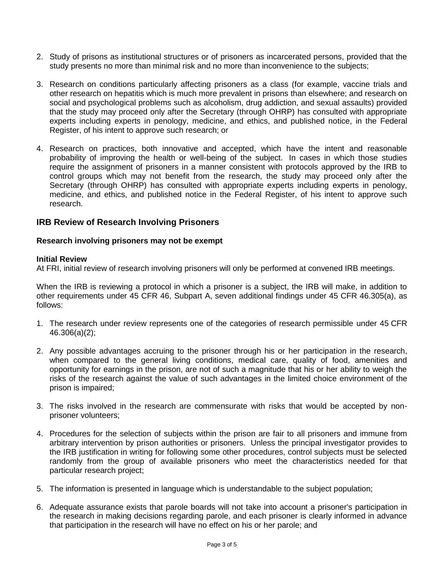- 2. Study of prisons as institutional structures or of prisoners as incarcerated persons, provided that the study presents no more than minimal risk and no more than inconvenience to the subjects;
- 3. Research on conditions particularly affecting prisoners as a class (for example, vaccine trials and other research on hepatitis which is much more prevalent in prisons than elsewhere; and research on social and psychological problems such as alcoholism, drug addiction, and sexual assaults) provided that the study may proceed only after the Secretary (through OHRP) has consulted with appropriate experts including experts in penology, medicine, and ethics, and published notice, in the Federal Register, of his intent to approve such research; or
- 4. Research on practices, both innovative and accepted, which have the intent and reasonable probability of improving the health or well-being of the subject. In cases in which those studies require the assignment of prisoners in a manner consistent with protocols approved by the IRB to control groups which may not benefit from the research, the study may proceed only after the Secretary (through OHRP) has consulted with appropriate experts including experts in penology, medicine, and ethics, and published notice in the Federal Register, of his intent to approve such research.

## **IRB Review of Research Involving Prisoners**

## **Research involving prisoners may not be exempt**

#### **Initial Review**

At FRI, initial review of research involving prisoners will only be performed at convened IRB meetings.

When the IRB is reviewing a protocol in which a prisoner is a subject, the IRB will make, in addition to other requirements under 45 CFR 46, Subpart A, seven additional findings under 45 CFR 46.305(a), as follows:

- 1. The research under review represents one of the categories of research permissible under 45 CFR 46.306(a)(2);
- 2. Any possible advantages accruing to the prisoner through his or her participation in the research, when compared to the general living conditions, medical care, quality of food, amenities and opportunity for earnings in the prison, are not of such a magnitude that his or her ability to weigh the risks of the research against the value of such advantages in the limited choice environment of the prison is impaired;
- 3. The risks involved in the research are commensurate with risks that would be accepted by nonprisoner volunteers;
- 4. Procedures for the selection of subjects within the prison are fair to all prisoners and immune from arbitrary intervention by prison authorities or prisoners. Unless the principal investigator provides to the IRB justification in writing for following some other procedures, control subjects must be selected randomly from the group of available prisoners who meet the characteristics needed for that particular research project;
- 5. The information is presented in language which is understandable to the subject population;
- 6. Adequate assurance exists that parole boards will not take into account a prisoner's participation in the research in making decisions regarding parole, and each prisoner is clearly informed in advance that participation in the research will have no effect on his or her parole; and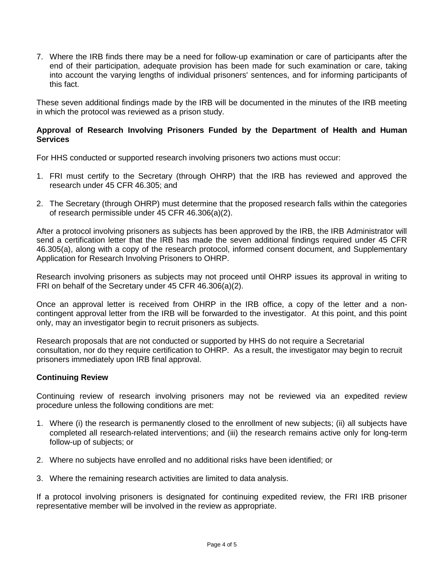7. Where the IRB finds there may be a need for follow-up examination or care of participants after the end of their participation, adequate provision has been made for such examination or care, taking into account the varying lengths of individual prisoners' sentences, and for informing participants of this fact.

These seven additional findings made by the IRB will be documented in the minutes of the IRB meeting in which the protocol was reviewed as a prison study.

## **Approval of Research Involving Prisoners Funded by the Department of Health and Human Services**

For HHS conducted or supported research involving prisoners two actions must occur:

- 1. FRI must certify to the Secretary (through OHRP) that the IRB has reviewed and approved the research under 45 CFR 46.305; and
- 2. The Secretary (through OHRP) must determine that the proposed research falls within the categories of research permissible under 45 CFR 46.306(a)(2).

After a protocol involving prisoners as subjects has been approved by the IRB, the IRB Administrator will send a certification letter that the IRB has made the seven additional findings required under 45 CFR 46.305(a), along with a copy of the research protocol, informed consent document, and Supplementary Application for Research Involving Prisoners to OHRP.

Research involving prisoners as subjects may not proceed until OHRP issues its approval in writing to FRI on behalf of the Secretary under 45 CFR 46.306(a)(2).

Once an approval letter is received from OHRP in the IRB office, a copy of the letter and a noncontingent approval letter from the IRB will be forwarded to the investigator. At this point, and this point only, may an investigator begin to recruit prisoners as subjects.

Research proposals that are not conducted or supported by HHS do not require a Secretarial consultation, nor do they require certification to OHRP. As a result, the investigator may begin to recruit prisoners immediately upon IRB final approval.

## **Continuing Review**

Continuing review of research involving prisoners may not be reviewed via an expedited review procedure unless the following conditions are met:

- 1. Where (i) the research is permanently closed to the enrollment of new subjects; (ii) all subjects have completed all research-related interventions; and (iii) the research remains active only for long-term follow-up of subjects; or
- 2. Where no subjects have enrolled and no additional risks have been identified; or
- 3. Where the remaining research activities are limited to data analysis.

If a protocol involving prisoners is designated for continuing expedited review, the FRI IRB prisoner representative member will be involved in the review as appropriate.